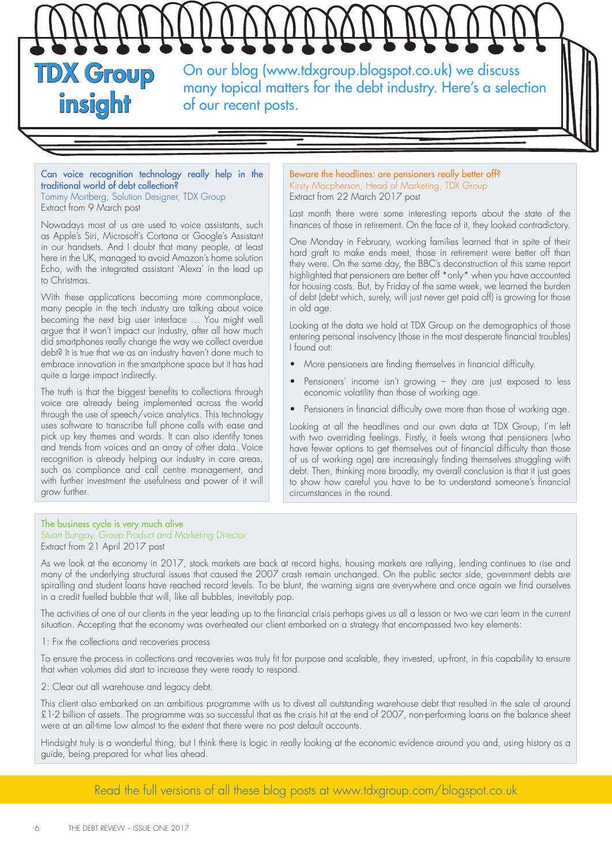

## Can voice recognition technology really help in the traditional world of debt collection?

Tommy Mortberg, Solution Designer, TDX Group Extract from 9 March post

Nowadays most of us are used to voice assistants, such as Apple's Siri, Microsoft's Cortana or Google's Assistant in our handsets. And I doubt that many people, at least here in the UK, managed to avoid Amazon's home solution Echo, with the integrated assistant 'Alexa' in the lead up to Christmas.

With these applications becoming more commonplace, many people in the tech industry are talking about voice becoming the next big user interface … You might well argue that it won't impact our industry, after all how much did smartphones really change the way we collect overdue debt? It is true that we as an industry haven't done much to embrace innovation in the smartphone space but it has had quite a large impact indirectly.

The truth is that the biggest benefits to collections through voice are already being implemented across the world through the use of speech/voice analytics. This technology uses software to transcribe full phone calls with ease and pick up key themes and words. It can also identify tones and trends from voices and an array of other data. Voice recognition is already helping our industry in core areas, such as compliance and call centre management, and with further investment the usefulness and power of it will grow further.

## Beware the headlines: are pensioners really better off? Kirsty Macpherson, Head of Marketing, TDX Group Extract from 22 March 2017 post

Last month there were some interesting reports about the state of the finances of those in retirement. On the face of it, they looked contradictory.

One Monday in February, working families learned that in spite of their hard graft to make ends meet, those in retirement were better off than they were. On the same day, the BBC's deconstruction of this same report highlighted that pensioners are better off \*only\* when you have accounted for housing costs. But, by Friday of the same week, we learned the burden of debt (debt which, surely, will just never get paid off) is growing for those in old age.

Looking at the data we hold at TDX Group on the demographics of those entering personal insolvency (those in the most desperate financial troubles) I found out:

- More pensioners are finding themselves in financial difficulty.
- Pensioners' income isn't growing they are just exposed to less economic volatility than those of working age.
- Pensioners in financial difficulty owe more than those of working age.

Looking at all the headlines and our own data at TDX Group, I'm left with two overriding feelings. Firstly, it feels wrong that pensioners (who have fewer options to get themselves out of financial difficulty than those of us of working age) are increasingly finding themselves struggling with debt. Then, thinking more broadly, my overall conclusion is that it just goes to show how careful you have to be to understand someone's financial circumstances in the round.

## The business cycle is very much alive

Stuart Bungay, Group Product and Marketing Director Extract from 21 April 2017 post

As we look at the economy in 2017, stock markets are back at record highs, housing markets are rallying, lending continues to rise and many of the underlying structural issues that caused the 2007 crash remain unchanged. On the public sector side, government debts are spiralling and student loans have reached record levels. To be blunt, the warning signs are everywhere and once again we find ourselves in a credit fuelled bubble that will, like all bubbles, inevitably pop.

The activities of one of our clients in the year leading up to the financial crisis perhaps gives us all a lesson or two we can learn in the current situation. Accepting that the economy was overheated our client embarked on a strategy that encompassed two key elements:

1: Fix the collections and recoveries process

To ensure the process in collections and recoveries was truly fit for purpose and scalable, they invested, up-front, in this capability to ensure that when volumes did start to increase they were ready to respond.

2: Clear out all warehouse and legacy debt.

This client also embarked on an ambitious programme with us to divest all outstanding warehouse debt that resulted in the sale of around £1-2 billion of assets. The programme was so successful that as the crisis hit at the end of 2007, non-performing loans on the balance sheet were at an all-time low almost to the extent that there were no post default accounts.

Hindsight truly is a wonderful thing, but I think there is logic in really looking at the economic evidence around you and, using history as a guide, being prepared for what lies ahead.

Read the full versions of all these blog posts at www.tdxgroup.com/blogspot.co.uk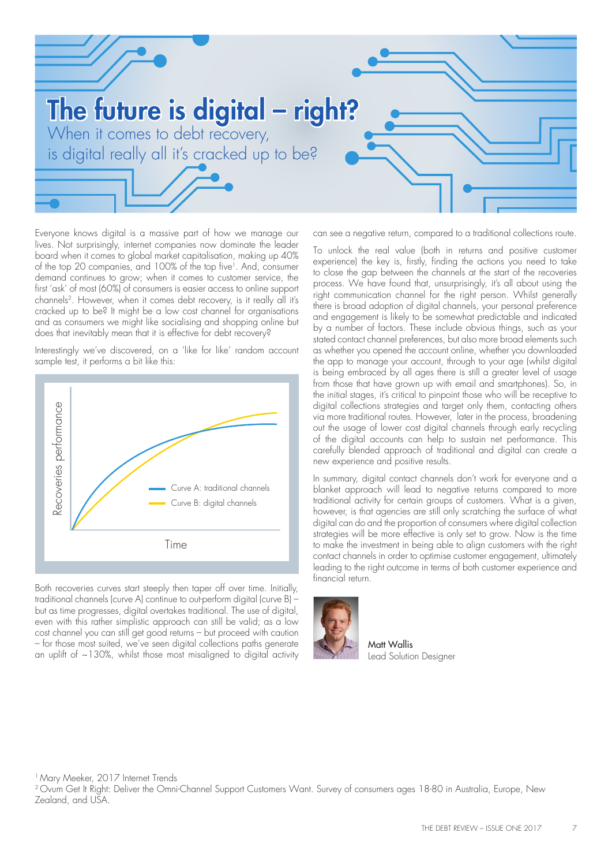

Everyone knows digital is a massive part of how we manage our lives. Not surprisingly, internet companies now dominate the leader board when it comes to global market capitalisation, making up 40% of the top 20 companies, and 100% of the top five<sup>1</sup>. And, consumer demand continues to grow; when it comes to customer service, the first 'ask' of most (60%) of consumers is easier access to online support channels<sup>2</sup>. However, when it comes debt recovery, is it really all it's cracked up to be? It might be a low cost channel for organisations and as consumers we might like socialising and shopping online but does that inevitably mean that it is effective for debt recovery?

Interestingly we've discovered, on a 'like for like' random account sample test, it performs a bit like this:



Both recoveries curves start steeply then taper off over time. Initially, traditional channels (curve A) continue to out-perform digital (curve B) – but as time progresses, digital overtakes traditional. The use of digital, even with this rather simplistic approach can still be valid; as a low cost channel you can still get good returns – but proceed with caution – for those most suited, we've seen digital collections paths generate an uplift of  $\sim$ 130%, whilst those most misaligned to digital activity can see a negative return, compared to a traditional collections route.

To unlock the real value (both in returns and positive customer experience) the key is, firstly, finding the actions you need to take to close the gap between the channels at the start of the recoveries process. We have found that, unsurprisingly, it's all about using the right communication channel for the right person. Whilst generally there is broad adoption of digital channels, your personal preference and engagement is likely to be somewhat predictable and indicated by a number of factors. These include obvious things, such as your stated contact channel preferences, but also more broad elements such as whether you opened the account online, whether you downloaded the app to manage your account, through to your age (whilst digital is being embraced by all ages there is still a greater level of usage from those that have grown up with email and smartphones). So, in the initial stages, it's critical to pinpoint those who will be receptive to digital collections strategies and target only them, contacting others via more traditional routes. However, later in the process, broadening out the usage of lower cost digital channels through early recycling of the digital accounts can help to sustain net performance. This carefully blended approach of traditional and digital can create a new experience and positive results.

In summary, digital contact channels don't work for everyone and a blanket approach will lead to negative returns compared to more traditional activity for certain groups of customers. What is a given, however, is that agencies are still only scratching the surface of what digital can do and the proportion of consumers where digital collection strategies will be more effective is only set to grow. Now is the time to make the investment in being able to align customers with the right contact channels in order to optimise customer engagement, ultimately leading to the right outcome in terms of both customer experience and financial return.



Matt Wallis Lead Solution Designer

<sup>1</sup> Mary Meeker, 2017 Internet Trends

<sup>2</sup> Ovum Get It Right: Deliver the Omni-Channel Support Customers Want. Survey of consumers ages 18-80 in Australia, Europe, New Zealand, and USA.